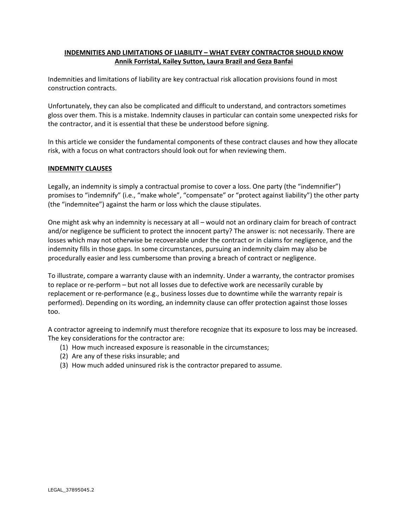# **INDEMNITIES AND LIMITATIONS OF LIABILITY – WHAT EVERY CONTRACTOR SHOULD KNOW Annik Forristal, Kailey Sutton, Laura Brazil and Geza Banfai**

Indemnities and limitations of liability are key contractual risk allocation provisions found in most construction contracts.

Unfortunately, they can also be complicated and difficult to understand, and contractors sometimes gloss over them. This is a mistake. Indemnity clauses in particular can contain some unexpected risks for the contractor, and it is essential that these be understood before signing.

In this article we consider the fundamental components of these contract clauses and how they allocate risk, with a focus on what contractors should look out for when reviewing them.

#### **INDEMNITY CLAUSES**

Legally, an indemnity is simply a contractual promise to cover a loss. One party (the "indemnifier") promises to "indemnify" (i.e., "make whole", "compensate" or "protect against liability") the other party (the "indemnitee") against the harm or loss which the clause stipulates.

One might ask why an indemnity is necessary at all – would not an ordinary claim for breach of contract and/or negligence be sufficient to protect the innocent party? The answer is: not necessarily. There are losses which may not otherwise be recoverable under the contract or in claims for negligence, and the indemnity fills in those gaps. In some circumstances, pursuing an indemnity claim may also be procedurally easier and less cumbersome than proving a breach of contract or negligence.

To illustrate, compare a warranty clause with an indemnity. Under a warranty, the contractor promises to replace or re-perform – but not all losses due to defective work are necessarily curable by replacement or re-performance (e.g., business losses due to downtime while the warranty repair is performed). Depending on its wording, an indemnity clause can offer protection against those losses too.

A contractor agreeing to indemnify must therefore recognize that its exposure to loss may be increased. The key considerations for the contractor are:

- (1) How much increased exposure is reasonable in the circumstances;
- (2) Are any of these risks insurable; and
- (3) How much added uninsured risk is the contractor prepared to assume.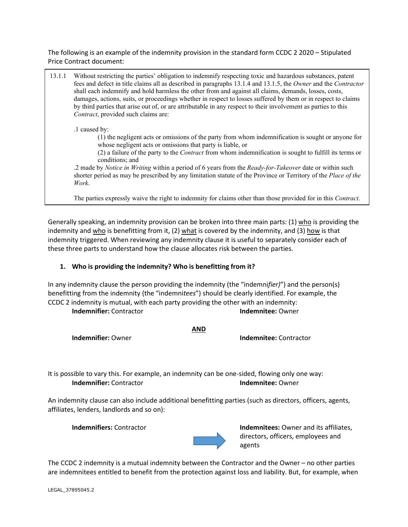The following is an example of the indemnity provision in the standard form CCDC 2 2020 – Stipulated Price Contract document:

13.1.1 Without restricting the parties' obligation to indemnify respecting toxic and hazardous substances, patent fees and defect in title claims all as described in paragraphs 13.1.4 and 13.1.5, the *Owner* and the *Contractor*  shall each indemnify and hold harmless the other from and against all claims, demands, losses, costs, damages, actions, suits, or proceedings whether in respect to losses suffered by them or in respect to claims by third parties that arise out of, or are attributable in any respect to their involvement as parties to this *Contract*, provided such claims are: .1 caused by: (1) the negligent acts or omissions of the party from whom indemnification is sought or anyone for whose negligent acts or omissions that party is liable, or (2) a failure of the party to the *Contract* from whom indemnification is sought to fulfill its terms or conditions; and .2 made by *Notice in Writing* within a period of 6 years from the *Ready-for-Takeover* date or within such shorter period as may be prescribed by any limitation statute of the Province or Territory of the *Place of the Work*.

The parties expressly waive the right to indemnity for claims other than those provided for in this *Contract*.

Generally speaking, an indemnity provision can be broken into three main parts: (1) who is providing the indemnity and who is benefitting from it, (2) what is covered by the indemnity, and (3) how is that indemnity triggered. When reviewing any indemnity clause it is useful to separately consider each of these three parts to understand how the clause allocates risk between the parties.

# **1. Who is providing the indemnity? Who is benefitting from it?**

In any indemnity clause the person providing the indemnity (the "indemni*fier)*") and the person(s) benefitting from the indemnity (the "indemni*tees*") should be clearly identified. For example, the CCDC 2 indemnity is mutual, with each party providing the other with an indemnity: **Indemnifier:** Contractor **Indemnitee:** Owner

**AND**

**Indemnifier:** Owner **Indemnitee:** Contractor

It is possible to vary this. For example, an indemnity can be one-sided, flowing only one way: **Indemnifier:** Contractor **Indemnitee:** Owner

An indemnity clause can also include additional benefitting parties (such as directors, officers, agents, affiliates, lenders, landlords and so on):



**Indemnifiers:** Contractor **Indemnitees:** Owner and its affiliates, directors, officers, employees and agents

The CCDC 2 indemnity is a mutual indemnity between the Contractor and the Owner – no other parties are indemnitees entitled to benefit from the protection against loss and liability. But, for example, when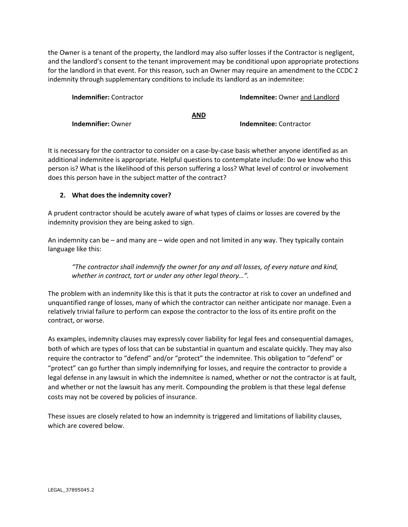the Owner is a tenant of the property, the landlord may also suffer losses if the Contractor is negligent, and the landlord's consent to the tenant improvement may be conditional upon appropriate protections for the landlord in that event. For this reason, such an Owner may require an amendment to the CCDC 2 indemnity through supplementary conditions to include its landlord as an indemnitee:

| <b>Indemnifier:</b> Contractor |     | <b>Indemnitee:</b> Owner and Landlord |
|--------------------------------|-----|---------------------------------------|
|                                | AND |                                       |
| <b>Indemnifier: Owner</b>      |     | <b>Indemnitee:</b> Contractor         |

It is necessary for the contractor to consider on a case-by-case basis whether anyone identified as an additional indemnitee is appropriate. Helpful questions to contemplate include: Do we know who this person is? What is the likelihood of this person suffering a loss? What level of control or involvement does this person have in the subject matter of the contract?

# **2. What does the indemnity cover?**

A prudent contractor should be acutely aware of what types of claims or losses are covered by the indemnity provision they are being asked to sign.

An indemnity can be – and many are – wide open and not limited in any way. They typically contain language like this:

*"The contractor shall indemnify the owner for any and all losses, of every nature and kind, whether in contract, tort or under any other legal theory…".*

The problem with an indemnity like this is that it puts the contractor at risk to cover an undefined and unquantified range of losses, many of which the contractor can neither anticipate nor manage. Even a relatively trivial failure to perform can expose the contractor to the loss of its entire profit on the contract, or worse.

As examples, indemnity clauses may expressly cover liability for legal fees and consequential damages, both of which are types of loss that can be substantial in quantum and escalate quickly. They may also require the contractor to "defend" and/or "protect" the indemnitee. This obligation to "defend" or "protect" can go further than simply indemnifying for losses, and require the contractor to provide a legal defense in any lawsuit in which the indemnitee is named, whether or not the contractor is at fault, and whether or not the lawsuit has any merit. Compounding the problem is that these legal defense costs may not be covered by policies of insurance.

These issues are closely related to how an indemnity is triggered and limitations of liability clauses, which are covered below.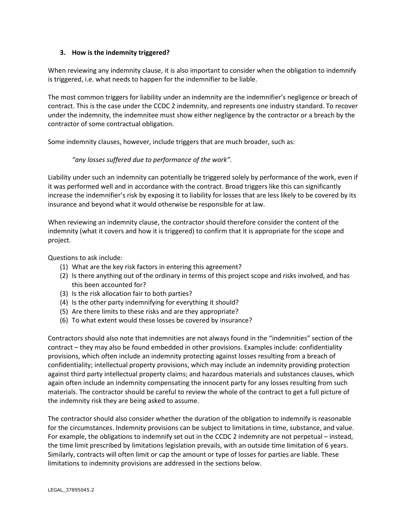## **3. How is the indemnity triggered?**

When reviewing any indemnity clause, it is also important to consider when the obligation to indemnify is triggered, i.e. what needs to happen for the indemnifier to be liable.

The most common triggers for liability under an indemnity are the indemnifier's negligence or breach of contract. This is the case under the CCDC 2 indemnity, and represents one industry standard. To recover under the indemnity, the indemnitee must show either negligence by the contractor or a breach by the contractor of some contractual obligation.

Some indemnity clauses, however, include triggers that are much broader, such as:

### *"any losses suffered due to performance of the work".*

Liability under such an indemnity can potentially be triggered solely by performance of the work, even if it was performed well and in accordance with the contract. Broad triggers like this can significantly increase the indemnifier's risk by exposing it to liability for losses that are less likely to be covered by its insurance and beyond what it would otherwise be responsible for at law.

When reviewing an indemnity clause, the contractor should therefore consider the content of the indemnity (what it covers and how it is triggered) to confirm that it is appropriate for the scope and project.

Questions to ask include:

- (1) What are the key risk factors in entering this agreement?
- (2) Is there anything out of the ordinary in terms of this project scope and risks involved, and has this been accounted for?
- (3) Is the risk allocation fair to both parties?
- (4) Is the other party indemnifying for everything it should?
- (5) Are there limits to these risks and are they appropriate?
- (6) To what extent would these losses be covered by insurance?

Contractors should also note that indemnities are not always found in the "indemnities" section of the contract – they may also be found embedded in other provisions. Examples include: confidentiality provisions, which often include an indemnity protecting against losses resulting from a breach of confidentiality; intellectual property provisions, which may include an indemnity providing protection against third party intellectual property claims; and hazardous materials and substances clauses, which again often include an indemnity compensating the innocent party for any losses resulting from such materials. The contractor should be careful to review the whole of the contract to get a full picture of the indemnity risk they are being asked to assume.

The contractor should also consider whether the duration of the obligation to indemnify is reasonable for the circumstances. Indemnity provisions can be subject to limitations in time, substance, and value. For example, the obligations to indemnify set out in the CCDC 2 indemnity are not perpetual – instead, the time limit prescribed by limitations legislation prevails, with an outside time limitation of 6 years. Similarly, contracts will often limit or cap the amount or type of losses for parties are liable. These limitations to indemnity provisions are addressed in the sections below.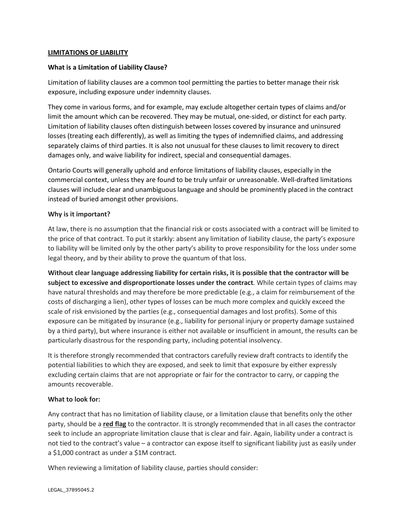### **LIMITATIONS OF LIABILITY**

## **What is a Limitation of Liability Clause?**

Limitation of liability clauses are a common tool permitting the parties to better manage their risk exposure, including exposure under indemnity clauses.

They come in various forms, and for example, may exclude altogether certain types of claims and/or limit the amount which can be recovered. They may be mutual, one-sided, or distinct for each party. Limitation of liability clauses often distinguish between losses covered by insurance and uninsured losses (treating each differently), as well as limiting the types of indemnified claims, and addressing separately claims of third parties. It is also not unusual for these clauses to limit recovery to direct damages only, and waive liability for indirect, special and consequential damages.

Ontario Courts will generally uphold and enforce limitations of liability clauses, especially in the commercial context, unless they are found to be truly unfair or unreasonable. Well-drafted limitations clauses will include clear and unambiguous language and should be prominently placed in the contract instead of buried amongst other provisions.

### **Why is it important?**

At law, there is no assumption that the financial risk or costs associated with a contract will be limited to the price of that contract. To put it starkly: absent any limitation of liability clause, the party's exposure to liability will be limited only by the other party's ability to prove responsibility for the loss under some legal theory, and by their ability to prove the quantum of that loss.

**Without clear language addressing liability for certain risks, it is possible that the contractor will be subject to excessive and disproportionate losses under the contract**. While certain types of claims may have natural thresholds and may therefore be more predictable (e.g., a claim for reimbursement of the costs of discharging a lien), other types of losses can be much more complex and quickly exceed the scale of risk envisioned by the parties (e.g., consequential damages and lost profits). Some of this exposure can be mitigated by insurance (e.g., liability for personal injury or property damage sustained by a third party), but where insurance is either not available or insufficient in amount, the results can be particularly disastrous for the responding party, including potential insolvency.

It is therefore strongly recommended that contractors carefully review draft contracts to identify the potential liabilities to which they are exposed, and seek to limit that exposure by either expressly excluding certain claims that are not appropriate or fair for the contractor to carry, or capping the amounts recoverable.

#### **What to look for:**

Any contract that has no limitation of liability clause, or a limitation clause that benefits only the other party, should be a **red flag** to the contractor. It is strongly recommended that in all cases the contractor seek to include an appropriate limitation clause that is clear and fair. Again, liability under a contract is not tied to the contract's value – a contractor can expose itself to significant liability just as easily under a \$1,000 contract as under a \$1M contract.

When reviewing a limitation of liability clause, parties should consider: